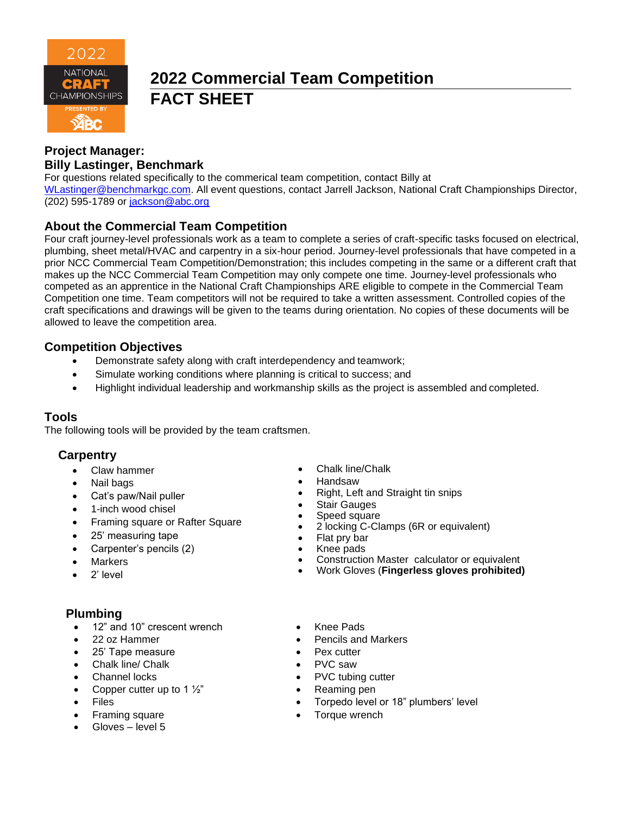

# **2022 Commercial Team Competition FACT SHEET**

# **Project Manager: Billy Lastinger, Benchmark**

For questions related specifically to the commerical team competition, contact Billy at [WLastinger@benchmarkgc.com.](mailto:WLastinger@benchmarkgc.com) All event questions, contact Jarrell Jackson, National Craft Championships Director, (202) 595-1789 or [jackson@abc.org](mailto:jackson@abc.org)

# **About the Commercial Team Competition**

Four craft journey-level professionals work as a team to complete a series of craft-specific tasks focused on electrical, plumbing, sheet metal/HVAC and carpentry in a six-hour period. Journey-level professionals that have competed in a prior NCC Commercial Team Competition/Demonstration; this includes competing in the same or a different craft that makes up the NCC Commercial Team Competition may only compete one time. Journey-level professionals who competed as an apprentice in the National Craft Championships ARE eligible to compete in the Commercial Team Competition one time. Team competitors will not be required to take a written assessment. Controlled copies of the craft specifications and drawings will be given to the teams during orientation. No copies of these documents will be allowed to leave the competition area.

# **Competition Objectives**

- Demonstrate safety along with craft interdependency and teamwork;
- Simulate working conditions where planning is critical to success; and
- Highlight individual leadership and workmanship skills as the project is assembled and completed.

# **Tools**

The following tools will be provided by the team craftsmen.

# **Carpentry**

- Claw hammer
- Nail bags
- Cat's paw/Nail puller
- 1-inch wood chisel
- Framing square or Rafter Square
- 25' measuring tape
- Carpenter's pencils (2)
- **Markers**
- 2' level

# **Plumbing**

- 12" and 10" crescent wrench
- 22 oz Hammer
- 25' Tape measure
- Chalk line/ Chalk
- Channel locks
- Copper cutter up to 1  $\frac{1}{2}$ "
- **Files**
- Framing square
- Gloves level 5
- Chalk line/Chalk
- Handsaw
- Right, Left and Straight tin snips
- Stair Gauges
- Speed square
- 2 locking C-Clamps (6R or equivalent)
- Flat pry bar
- Knee pads
- Construction Master calculator or equivalent
- Work Gloves (**Fingerless gloves prohibited)**
- Knee Pads
- Pencils and Markers
- Pex cutter
- PVC saw
- PVC tubing cutter
- Reaming pen
- Torpedo level or 18" plumbers' level
- Torque wrench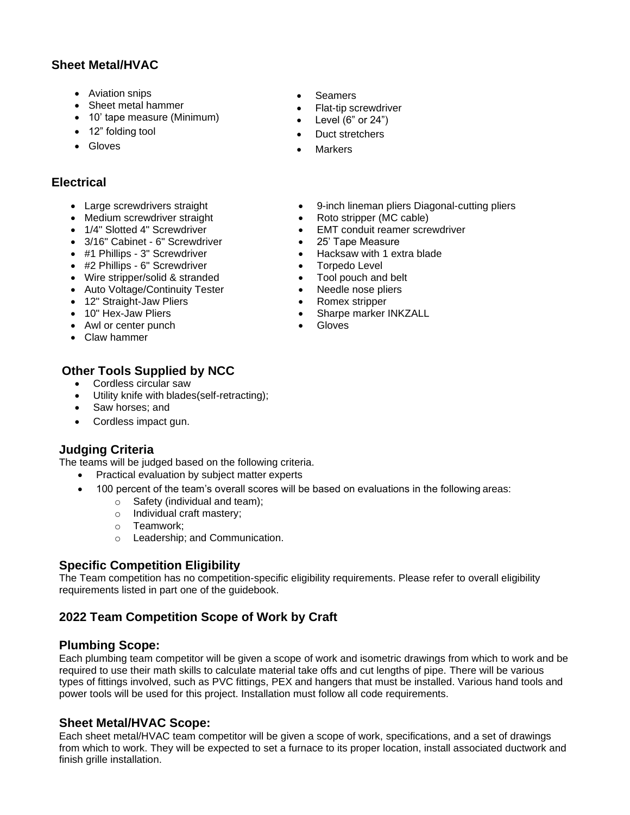# **Sheet Metal/HVAC**

- Aviation snips
- Sheet metal hammer
- 10' tape measure (Minimum)
- 12" folding tool
- Gloves

# **Electrical**

- Large screwdrivers straight
- Medium screwdriver straight
- 1/4" Slotted 4" Screwdriver
- 3/16" Cabinet 6" Screwdriver
- #1 Phillips 3" Screwdriver
- #2 Phillips 6" Screwdriver
- Wire stripper/solid & stranded
- Auto Voltage/Continuity Tester
- 12" Straight-Jaw Pliers
- 10" Hex-Jaw Pliers
- Awl or center punch
- Claw hammer

# **Other Tools Supplied by NCC**

- Cordless circular saw
- Utility knife with blades(self-retracting);
- Saw horses; and
- Cordless impact gun.

# **Judging Criteria**

The teams will be judged based on the following criteria.

- Practical evaluation by subject matter experts
- 100 percent of the team's overall scores will be based on evaluations in the following areas:
	- o Safety (individual and team);
	- o Individual craft mastery;
	- o Teamwork;
	- o Leadership; and Communication.

# **Specific Competition Eligibility**

The Team competition has no competition-specific eligibility requirements. Please refer to overall eligibility requirements listed in part one of the guidebook.

# **2022 Team Competition Scope of Work by Craft**

#### **Plumbing Scope:**

Each plumbing team competitor will be given a scope of work and isometric drawings from which to work and be required to use their math skills to calculate material take offs and cut lengths of pipe. There will be various types of fittings involved, such as PVC fittings, PEX and hangers that must be installed. Various hand tools and power tools will be used for this project. Installation must follow all code requirements.

#### **Sheet Metal/HVAC Scope:**

Each sheet metal/HVAC team competitor will be given a scope of work, specifications, and a set of drawings from which to work. They will be expected to set a furnace to its proper location, install associated ductwork and finish grille installation.

- Seamers
- Flat-tip screwdriver
- Level  $(6"$  or  $24")$
- Duct stretchers
- **Markers**
- 9-inch lineman pliers Diagonal-cutting pliers
- Roto stripper (MC cable)
- EMT conduit reamer screwdriver
- 25' Tape Measure
- Hacksaw with 1 extra blade
- Torpedo Level
- Tool pouch and belt
- Needle nose pliers
- Romex stripper
- Sharpe marker INKZALL
- Gloves